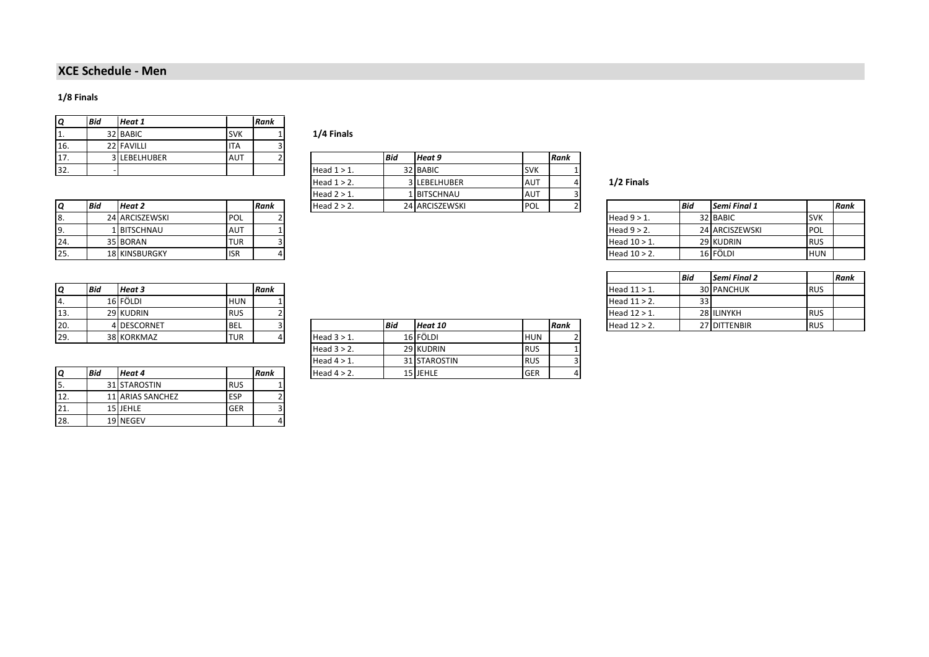## **XCE Schedule - Men**

## **1/8 Finals**

| O   | <b>Bid</b> | Heat 1            |            | Rank |
|-----|------------|-------------------|------------|------|
|     |            | 32 BABIC          | <b>SVK</b> |      |
| 16. |            | 22 FAVILLI        | ITA        |      |
|     |            | <b>LEBELHUBER</b> | AUT        |      |
| 22  |            |                   |            |      |

|     | <b>Bid</b> | Heat 2               |            | l Rank | Head $2 > 2$ . | 24 ARCISZEWSKI | <b>IPOL</b> |  |                 | l Bid | Semi Final 1   |             |
|-----|------------|----------------------|------------|--------|----------------|----------------|-------------|--|-----------------|-------|----------------|-------------|
| о.  |            | 24 ARCISZEWSKI       | <b>POL</b> |        |                |                |             |  | Head $9 > 1$ .  |       | 32 BABIC       | <b>SVK</b>  |
|     |            | <b>1 BITSCHNAU</b>   | <b>AUT</b> |        |                |                |             |  | Head $9 > 2$ .  |       | 24 ARCISZEWSKI | <b>POL</b>  |
| 24. |            | 35 BORAN             | 'TUR       |        |                |                |             |  | Head $10 > 1$ . |       | 29 KUDRIN      | <b>RUS</b>  |
| 25. |            | <b>18 KINSBURGKY</b> | <b>ISR</b> |        |                |                |             |  | Head $10 > 2$ . |       | 16 FÖLDI       | <b>IHUN</b> |

1/4 Finals

| $^{\circ}$<br>17. |     | 3 LEBELHUBER                                                                                                    | <b>AUT</b> |      |                | <b>Bid</b> | Heat 9         |            | Rank |                                     |     |                                                                                                                 |        |
|-------------------|-----|-----------------------------------------------------------------------------------------------------------------|------------|------|----------------|------------|----------------|------------|------|-------------------------------------|-----|-----------------------------------------------------------------------------------------------------------------|--------|
| 32.               |     |                                                                                                                 |            |      | Head $1 > 1$ . |            | 32 BABIC       | <b>SVK</b> |      |                                     |     |                                                                                                                 |        |
|                   |     |                                                                                                                 |            |      | Head $1 > 2$ . |            | 3 LEBELHUBER   | <b>AUT</b> |      | 1/2 Finals                          |     |                                                                                                                 |        |
|                   |     |                                                                                                                 |            |      | Head $2 > 1$ . |            | 1 BITSCHNAU    | <b>AUT</b> |      |                                     |     |                                                                                                                 |        |
|                   | Bid | <b>Heat 2</b>                                                                                                   |            | Rank | Head $2 > 2$ . |            | 24 ARCISZEWSKI | POL        |      |                                     | Bid | Semi Final 1                                                                                                    | l Rank |
|                   |     | the contract of the contract of the contract of the contract of the contract of the contract of the contract of |            |      |                |            |                |            |      | the contract of the contract of the |     | the contract of the contract of the contract of the contract of the contract of the contract of the contract of |        |

|     | <b>Bid</b> | <b>Heat 2</b>        |             | l Rank | Head $2 > 2$ . | 24 ARCISZEWSKI | <b>POL</b> |  |                 | <b>Bid</b> | Semi Final 1   |            | Rank |
|-----|------------|----------------------|-------------|--------|----------------|----------------|------------|--|-----------------|------------|----------------|------------|------|
|     |            | 24 ARCISZEWSKI       | <b>IPOL</b> |        |                |                |            |  | Head 9 > 1.     |            | 32 BABIC       | <b>SVK</b> |      |
|     |            | 1 BITSCHNAU          | <b>AUT</b>  |        |                |                |            |  | Head $9 > 2$ .  |            | 24 ARCISZEWSKI | <b>POL</b> |      |
| 24. |            | 35 BORAN             | <b>TUR</b>  |        |                |                |            |  | Head $10 > 1$ . |            | 29 KUDRIN      | <b>RUS</b> |      |
| 25. |            | <b>18 KINSBURGKY</b> | <b>ISR</b>  |        |                |                |            |  | Head $10 > 2$ . |            | 16 FÖLDI       | <b>HUN</b> |      |

|              | <b>Bid</b> | Semi Final 2      |            | Rank |
|--------------|------------|-------------------|------------|------|
| Head 11 > 1. |            | <b>30 PANCHUK</b> | <b>RUS</b> |      |
| Head 11 > 2. | 331        |                   |            |      |
| Head 12 > 1. |            | 28 ILINYKH        | <b>RUS</b> |      |
| Head 12 > 2. |            | 27 DITTENBIR      | <b>RUS</b> |      |

| Q   | <b>Bia</b> | Heat 3      |            | Rank |                |     |          |     |      | Head $11 > 1$ . | <b>30 PANCHUK</b> | <b>RUS</b> |
|-----|------------|-------------|------------|------|----------------|-----|----------|-----|------|-----------------|-------------------|------------|
| 4.  |            | 16 FÖLDI    | <b>HUN</b> |      |                |     |          |     |      | Head $11 > 2$ . |                   |            |
| 13. |            | 29 KUDRIN   | <b>RUS</b> |      |                |     |          |     |      | Head $12 > 1$ . | 28 ILINYKH        | <b>RUS</b> |
| 20. |            | 4 DESCORNET | <b>BEL</b> |      |                | Bid | Heat 10  |     | Rank | Head $12 > 2$ . | 27 DITTENBIR      | <b>RUS</b> |
| 29. |            | 38 KORKMAZ  | <b>TUR</b> |      | Head $3 > 1$ . |     | 16 FÖLDI | HUN |      |                 |                   |            |

| Q   | <b>Bid</b> | Heat 4                  |            | Rank |
|-----|------------|-------------------------|------------|------|
| 5.  |            | 31 STAROSTIN            | <b>RUS</b> |      |
| 12. |            | <b>11 ARIAS SANCHEZ</b> | <b>ESP</b> |      |
|     |            | 15 JEHLE                | GER        |      |
| 28. |            | 19 NEGEV                |            |      |

| TJ. |            | <b><i>LJINUDININ</i></b> | נטווו      |      |                |            |              |            |      | $HECAULZZ$ .    | <b>LOTILININI</b> | נטוו       |
|-----|------------|--------------------------|------------|------|----------------|------------|--------------|------------|------|-----------------|-------------------|------------|
| 20. |            | 4 DESCORNET              | <b>BEL</b> |      |                | <b>Bid</b> | Heat 10      |            | Rank | Head $12 > 2$ . | 27 DITTENBIR      | <b>RUS</b> |
| 29. |            | 38 KORKMAZ               | <b>TUR</b> |      | Head $3 > 1$ . |            | 16 FÖLDI     | <b>HUN</b> |      |                 |                   |            |
|     |            |                          |            |      | Head $3 > 2$ . |            | 29 KUDRIN    | <b>RUS</b> |      |                 |                   |            |
|     |            |                          |            |      | Head 4 > 1.    |            | 31 STAROSTIN | <b>RUS</b> |      |                 |                   |            |
|     | <b>Bid</b> | Heat 4                   |            | Rank | Head $4 > 2$ . |            | 15 JEHLE     | <b>GER</b> |      |                 |                   |            |